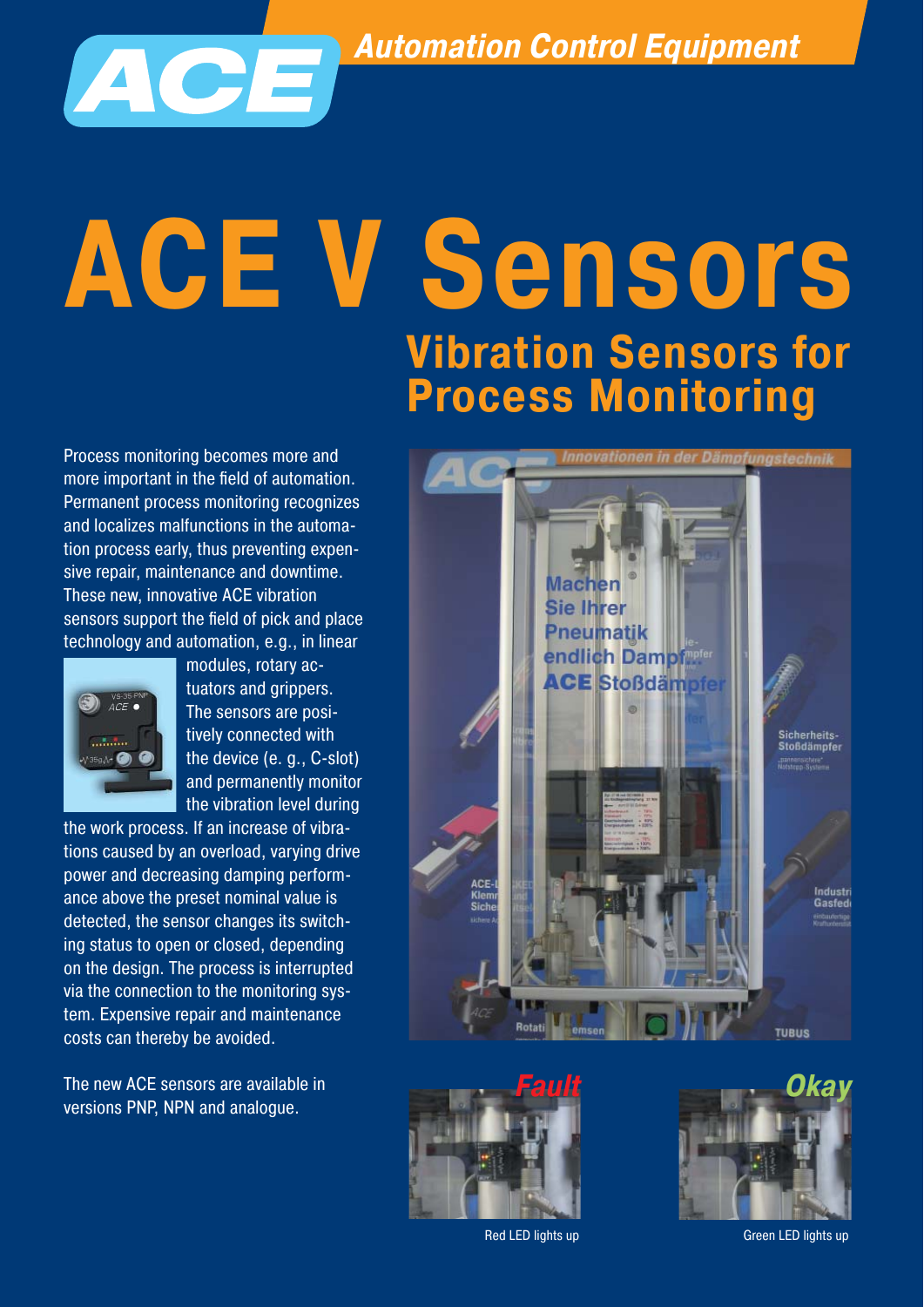*Automation Control Equipment* 



Process monitoring becomes more and more important in the field of automation. Permanent process monitoring recognizes and localizes malfunctions in the automation process early, thus preventing expensive repair, maintenance and downtime. These new, innovative ACE vibration sensors support the field of pick and place technology and automation, e.g., in linear



 modules, rotary ac-  $\bigcirc$   $\bigcirc$   $\bigcirc$   $\bigcirc$   $\bigcirc$   $\bigcirc$   $\bigcirc$   $\bigcirc$   $\bigcirc$   $\bigcirc$   $\bigcirc$   $\bigcirc$   $\bigcirc$   $\bigcirc$   $\bigcirc$   $\bigcirc$   $\bigcirc$   $\bigcirc$   $\bigcirc$   $\bigcirc$   $\bigcirc$   $\bigcirc$   $\bigcirc$   $\bigcirc$   $\bigcirc$   $\bigcirc$   $\bigcirc$   $\bigcirc$   $\bigcirc$   $\bigcirc$   $\bigcirc$   $\bigcirc$   $\bigcirc$   $\bigcirc$   $\bigcirc$   $\bigcirc$   $\bigcirc$  The sensors are posi **tively connected with** tively connected with the device (e. g., C-slot) and permanently monitor the vibration level during

the work process. If an increase of vibrations caused by an overload, varying drive power and decreasing damping performance above the preset nominal value is detected, the sensor changes its switching status to open or closed, depending on the design. The process is interrupted via the connection to the monitoring system. Expensive repair and maintenance costs can thereby be avoided.

The new ACE sensors are available in versions PNP, NPN and analogue.







Red LED lights up

Green LED lights up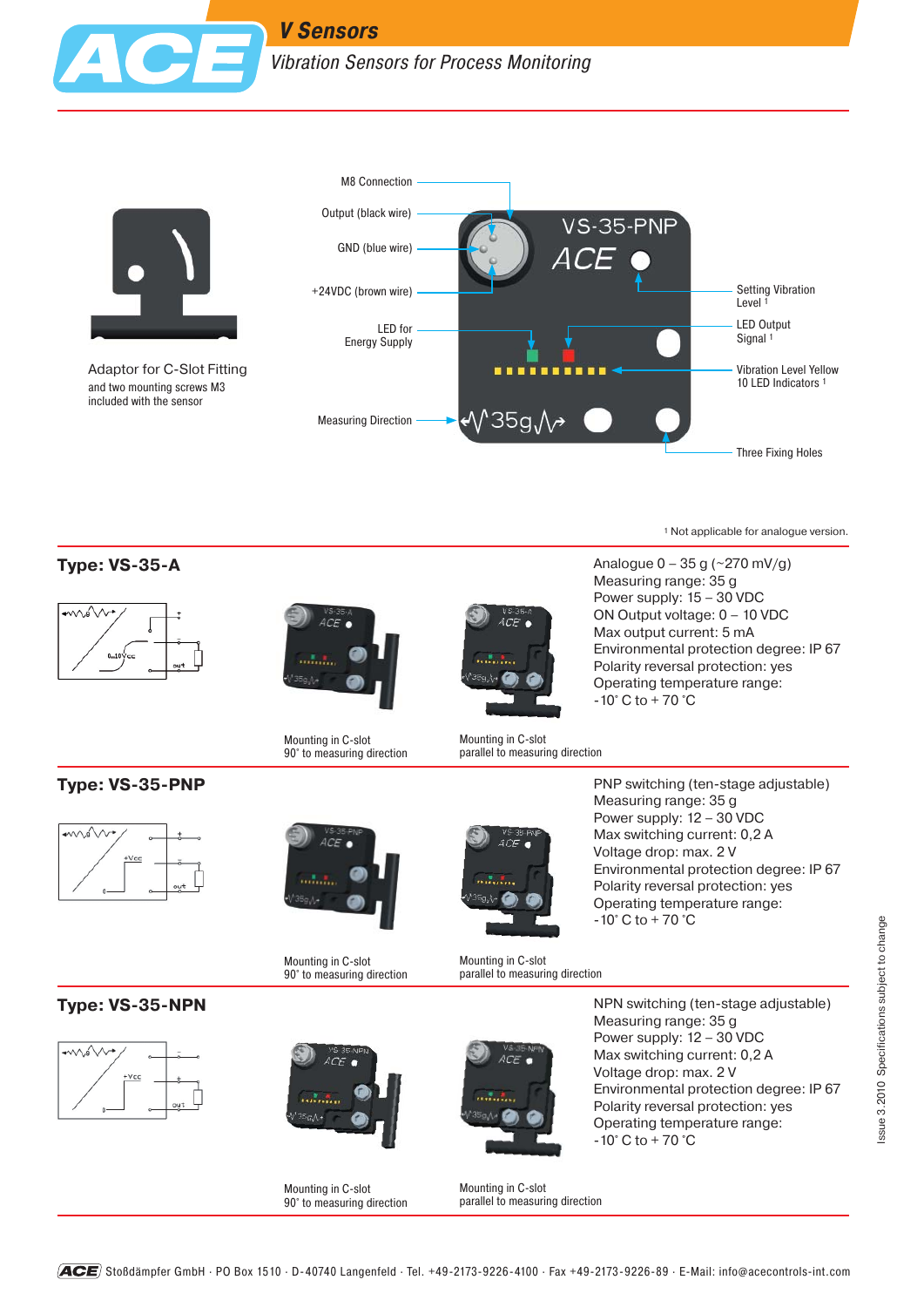

Adaptor for C-Slot Fitting and two mounting screws M3 included with the sensor



1 Not applicable for analogue version.

### **Type: VS-35-A**





Mounting in C-slot 90° to measuring direction



Analogue 0 – 35 g (~270 mV/g) Measuring range: 35 g Power supply: 15 – 30 VDC ON Output voltage: 0 – 10 VDC Max output current: 5 mA Environmental protection degree: IP 67 Polarity reversal protection: yes Operating temperature range: -10° C to + 70 °C



**Type: VS-35-PNP**





Mounting in C-slot 90° to measuring direction



PNP switching (ten-stage adjustable) Measuring range: 35 g Power supply: 12 – 30 VDC Max switching current: 0,2 A Voltage drop: max. 2 V Environmental protection degree: IP 67 Polarity reversal protection: yes Operating temperature range: -10° C to + 70 °C

Mounting in C-slot parallel to measuring direction

**Type: VS-35-NPN**





Mounting in C-slot 90° to measuring direction



NPN switching (ten-stage adjustable) Measuring range: 35 g Power supply: 12 – 30 VDC Max switching current: 0,2 A Voltage drop: max. 2 V Environmental protection degree: IP 67 Polarity reversal protection: yes Operating temperature range: -10° C to + 70 °C



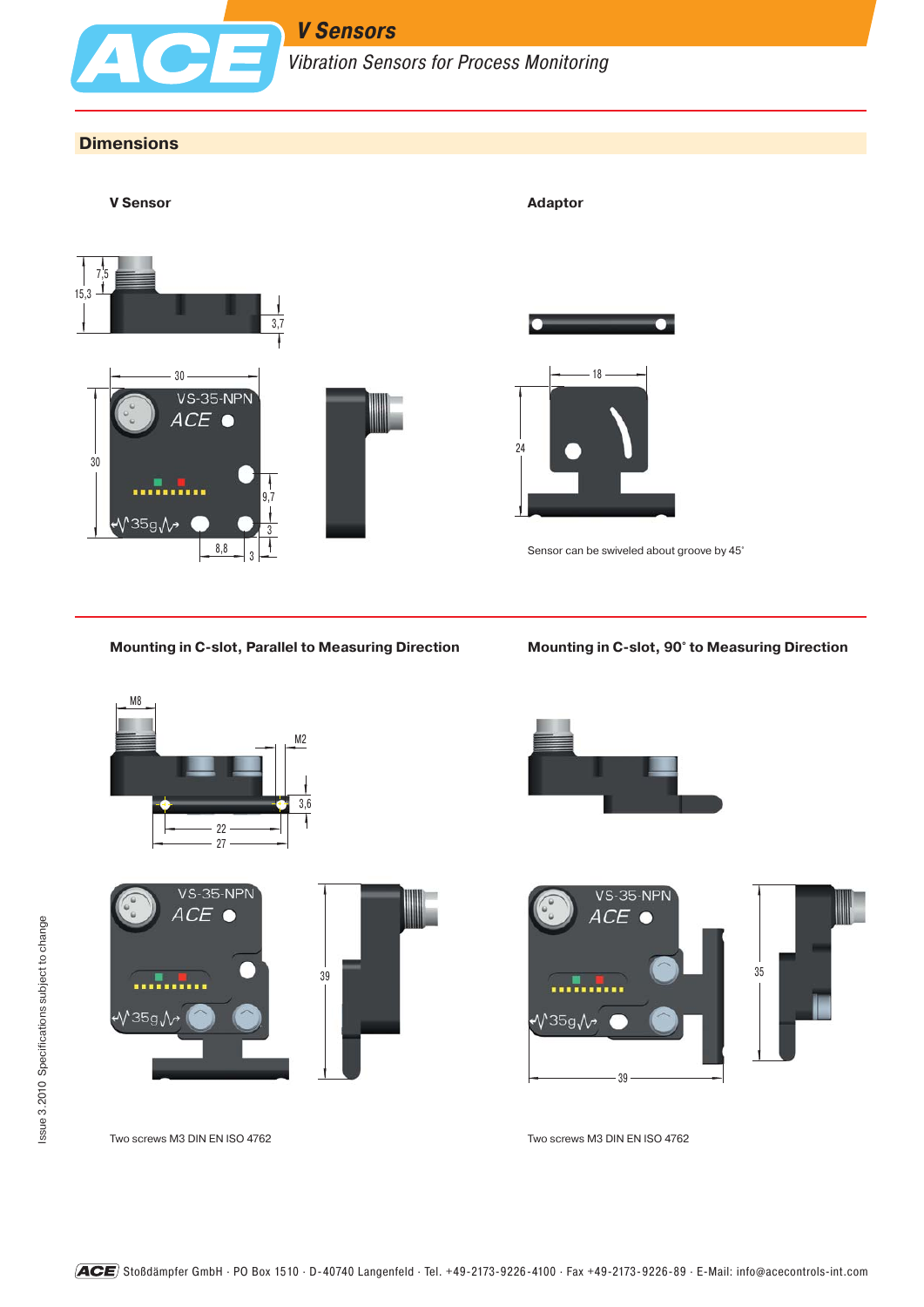

# *V Sensors*

*Vibration Sensors for Process Monitoring*

#### **Dimensions**



#### **Mounting in C-slot, Parallel to Measuring Direction Mounting in C-slot, 90° to Measuring Direction**











Two screws M3 DIN EN ISO 4762 Two screws M3 DIN EN ISO 4762